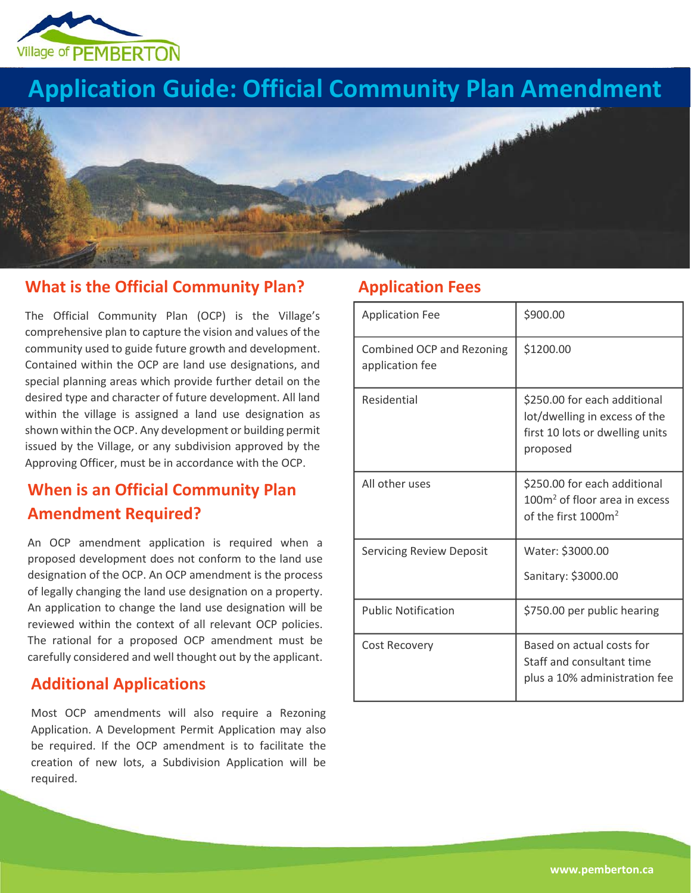

## **Application Guide: Official Community Plan Amendment**



## **What is the Official Community Plan?**

The Official Community Plan (OCP) is the Village's comprehensive plan to capture the vision and values of the community used to guide future growth and development. Contained within the OCP are land use designations, and special planning areas which provide further detail on the desired type and character of future development. All land within the village is assigned a land use designation as shown within the OCP. Any development or building permit issued by the Village, or any subdivision approved by the Approving Officer, must be in accordance with the OCP.

## **When is an Official Community Plan Amendment Required?**

An OCP amendment application is required when a proposed development does not conform to the land use designation of the OCP. An OCP amendment is the process of legally changing the land use designation on a property. An application to change the land use designation will be reviewed within the context of all relevant OCP policies. The rational for a proposed OCP amendment must be carefully considered and well thought out by the applicant.

## **Additional Applications**

Most OCP amendments will also require a Rezoning Application. A Development Permit Application may also be required. If the OCP amendment is to facilitate the creation of new lots, a Subdivision Application will be required.

## **Application Fees**

| <b>Application Fee</b>                       | \$900.00                                                                                                     |  |
|----------------------------------------------|--------------------------------------------------------------------------------------------------------------|--|
| Combined OCP and Rezoning<br>application fee | \$1200.00                                                                                                    |  |
| Residential                                  | \$250.00 for each additional<br>lot/dwelling in excess of the<br>first 10 lots or dwelling units<br>proposed |  |
| All other uses                               | \$250.00 for each additional<br>$100m2$ of floor area in excess<br>of the first 1000m <sup>2</sup>           |  |
| <b>Servicing Review Deposit</b>              | Water: \$3000.00                                                                                             |  |
|                                              | Sanitary: \$3000.00                                                                                          |  |
| <b>Public Notification</b>                   | \$750.00 per public hearing                                                                                  |  |
| Cost Recovery                                | Based on actual costs for<br>Staff and consultant time<br>plus a 10% administration fee                      |  |

**www.pemberton.ca**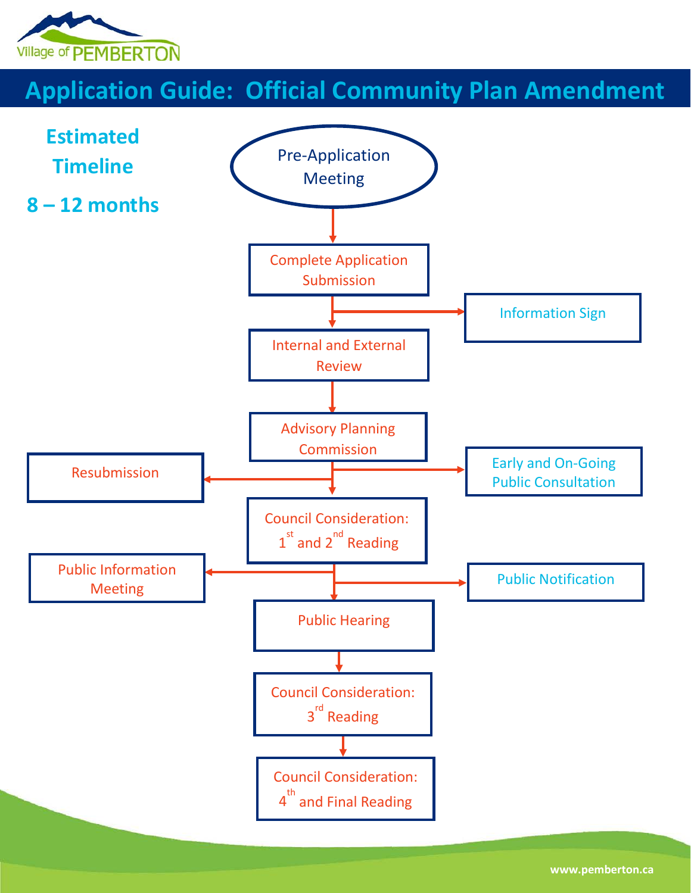

## **Application Guide: Official Community Plan Amendment**

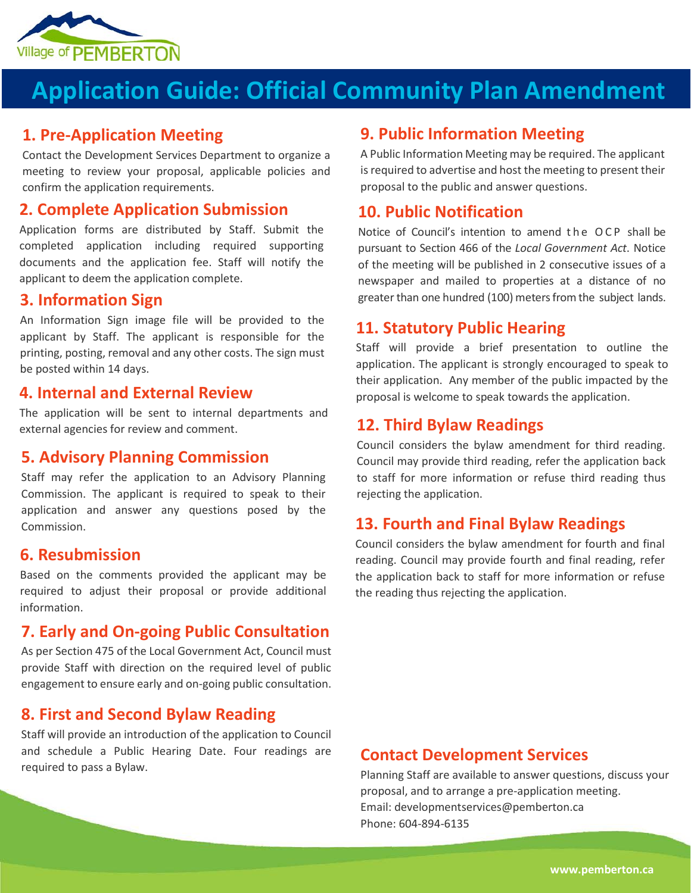

# **Application Guide: Official Community Plan Amendment**

#### **1. Pre-Application Meeting**

Contact the Development Services Department to organize a meeting to review your proposal, applicable policies and confirm the application requirements.

## **2. Complete Application Submission**

Application forms are distributed by Staff. Submit the completed application including required supporting documents and the application fee. Staff will notify the applicant to deem the application complete.

## **3. Information Sign**

An Information Sign image file will be provided to the applicant by Staff. The applicant is responsible for the printing, posting, removal and any other costs. The sign must be posted within 14 days.

#### **4. Internal and External Review**

The application will be sent to internal departments and external agencies for review and comment.

#### **5. Advisory Planning Commission**

Staff may refer the application to an Advisory Planning Commission. The applicant is required to speak to their application and answer any questions posed by the Commission.

#### **6. Resubmission**

Based on the comments provided the applicant may be required to adjust their proposal or provide additional information.

### **7. Early and On-going Public Consultation**

As per Section 475 of the Local Government Act, Council must provide Staff with direction on the required level of public engagement to ensure early and on-going public consultation.

#### **8. First and Second Bylaw Reading**

Staff will provide an introduction of the application to Council and schedule a Public Hearing Date. Four readings are required to pass a Bylaw.

#### **9. Public Information Meeting**

A Public Information Meeting may be required. The applicant is required to advertise and host the meeting to present their proposal to the public and answer questions.

### **10. Public Notification**

Notice of Council's intention to amend the OCP shall be pursuant to Section 466 of the *Local Government Act*. Notice of the meeting will be published in 2 consecutive issues of a newspaper and mailed to properties at a distance of no greater than one hundred (100) meters from the subject lands.

#### **11. Statutory Public Hearing**

Staff will provide a brief presentation to outline the application. The applicant is strongly encouraged to speak to their application. Any member of the public impacted by the proposal is welcome to speak towards the application.

#### **12. Third Bylaw Readings**

Council considers the bylaw amendment for third reading. Council may provide third reading, refer the application back to staff for more information or refuse third reading thus rejecting the application.

#### **13. Fourth and Final Bylaw Readings**

Council considers the bylaw amendment for fourth and final reading. Council may provide fourth and final reading, refer the application back to staff for more information or refuse the reading thus rejecting the application.

#### **Contact Development Services**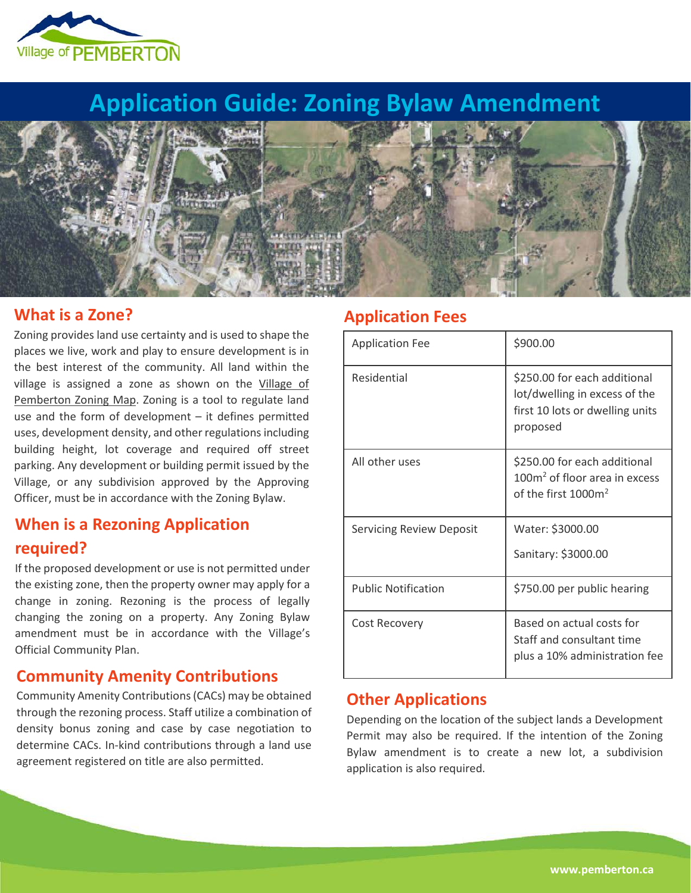

## **Application Guide: Zoning Bylaw Amendment**



### **What is a Zone?**

Zoning provides land use certainty and is used to shape the places we live, work and play to ensure development is in the best interest of the community. All land within the village is assigned a zone as shown on the [Village of](https://www.pemberton.ca/departments/development-services/zoning)  [Pemberton Zoning Map.](https://www.pemberton.ca/departments/development-services/zoning) Zoning is a tool to regulate land use and the form of development – it defines permitted uses, development density, and other regulations including building height, lot coverage and required off street parking. Any development or building permit issued by the Village, or any subdivision approved by the Approving Officer, must be in accordance with the Zoning Bylaw.

## **When is a Rezoning Application required?**

If the proposed development or use is not permitted under the existing zone, then the property owner may apply for a change in zoning. Rezoning is the process of legally changing the zoning on a property. Any Zoning Bylaw amendment must be in accordance with the Village's Official Community Plan.

## **Community Amenity Contributions**

Community Amenity Contributions (CACs) may be obtained through the rezoning process. Staff utilize a combination of density bonus zoning and case by case negotiation to determine CACs. In-kind contributions through a land use agreement registered on title are also permitted.

### **Application Fees**

| <b>Application Fee</b>          | \$900.00                                                                                                     |  |
|---------------------------------|--------------------------------------------------------------------------------------------------------------|--|
| Residential                     | \$250.00 for each additional<br>lot/dwelling in excess of the<br>first 10 lots or dwelling units<br>proposed |  |
| All other uses                  | \$250.00 for each additional<br>$100m2$ of floor area in excess<br>of the first $1000m^2$                    |  |
| <b>Servicing Review Deposit</b> | Water: \$3000.00                                                                                             |  |
|                                 | Sanitary: \$3000.00                                                                                          |  |
| <b>Public Notification</b>      | \$750.00 per public hearing                                                                                  |  |
| Cost Recovery                   | Based on actual costs for<br>Staff and consultant time<br>plus a 10% administration fee                      |  |

### **Other Applications**

Depending on the location of the subject lands a Development Permit may also be required. If the intention of the Zoning Bylaw amendment is to create a new lot, a subdivision application is also required.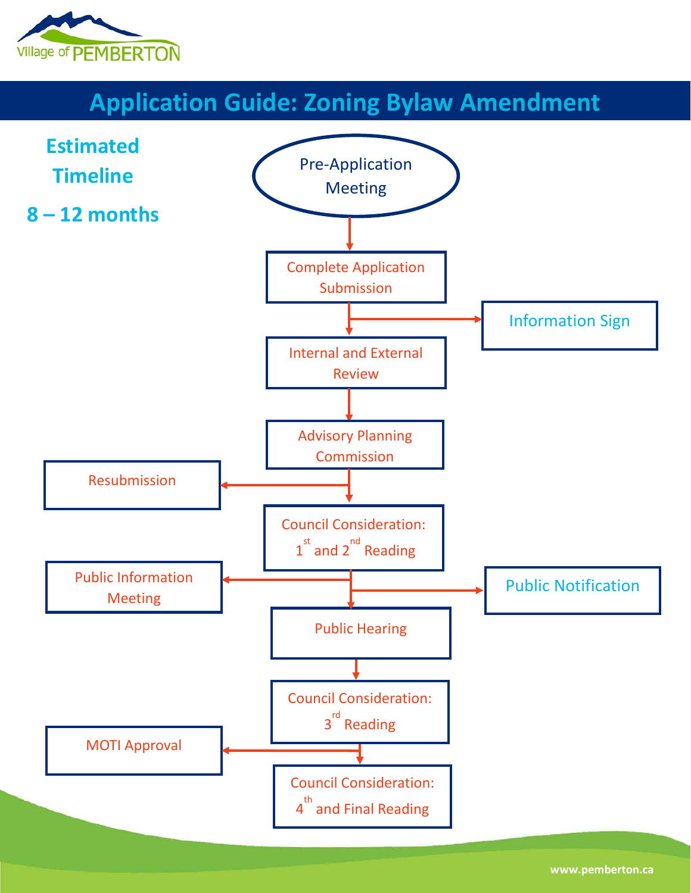

# **Application Guide: Zoning Bylaw Amendment**

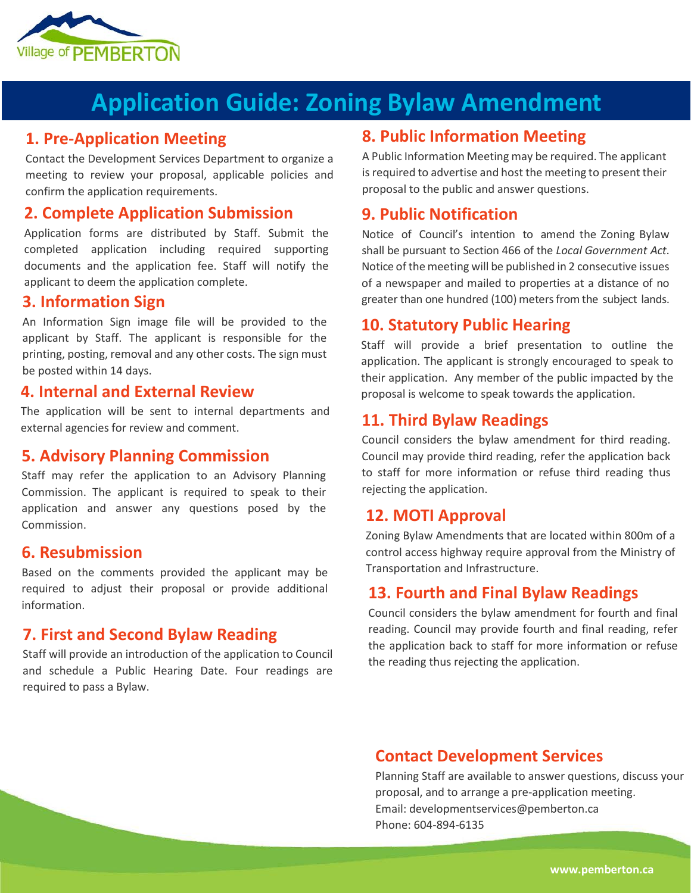

## **Application Guide: Zoning Bylaw Amendment**

### **1. Pre-Application Meeting**

Contact the Development Services Department to organize a meeting to review your proposal, applicable policies and confirm the application requirements.

## **2. Complete Application Submission**

Application forms are distributed by Staff. Submit the completed application including required supporting documents and the application fee. Staff will notify the applicant to deem the application complete.

#### **3. Information Sign**

An Information Sign image file will be provided to the applicant by Staff. The applicant is responsible for the printing, posting, removal and any other costs. The sign must be posted within 14 days.

#### **4. Internal and External Review**

The application will be sent to internal departments and external agencies for review and comment.

#### **5. Advisory Planning Commission**

Staff may refer the application to an Advisory Planning Commission. The applicant is required to speak to their application and answer any questions posed by the Commission.

#### **6. Resubmission**

Based on the comments provided the applicant may be required to adjust their proposal or provide additional information.

#### **7. First and Second Bylaw Reading**

Staff will provide an introduction of the application to Council and schedule a Public Hearing Date. Four readings are required to pass a Bylaw.

### **8. Public Information Meeting**

A Public Information Meeting may be required. The applicant is required to advertise and host the meeting to present their proposal to the public and answer questions.

### **9. Public Notification**

Notice of Council's intention to amend the Zoning Bylaw shall be pursuant to Section 466 of the *Local Government Act*. Notice of the meeting will be published in 2 consecutive issues of a newspaper and mailed to properties at a distance of no greater than one hundred (100) meters from the subject lands.

### **10. Statutory Public Hearing**

Staff will provide a brief presentation to outline the application. The applicant is strongly encouraged to speak to their application. Any member of the public impacted by the proposal is welcome to speak towards the application.

### **11. Third Bylaw Readings**

Council considers the bylaw amendment for third reading. Council may provide third reading, refer the application back to staff for more information or refuse third reading thus rejecting the application.

#### **12. MOTI Approval**

Zoning Bylaw Amendments that are located within 800m of a control access highway require approval from the Ministry of Transportation and Infrastructure.

#### **13. Fourth and Final Bylaw Readings**

Council considers the bylaw amendment for fourth and final reading. Council may provide fourth and final reading, refer the application back to staff for more information or refuse the reading thus rejecting the application.

#### **Contact Development Services**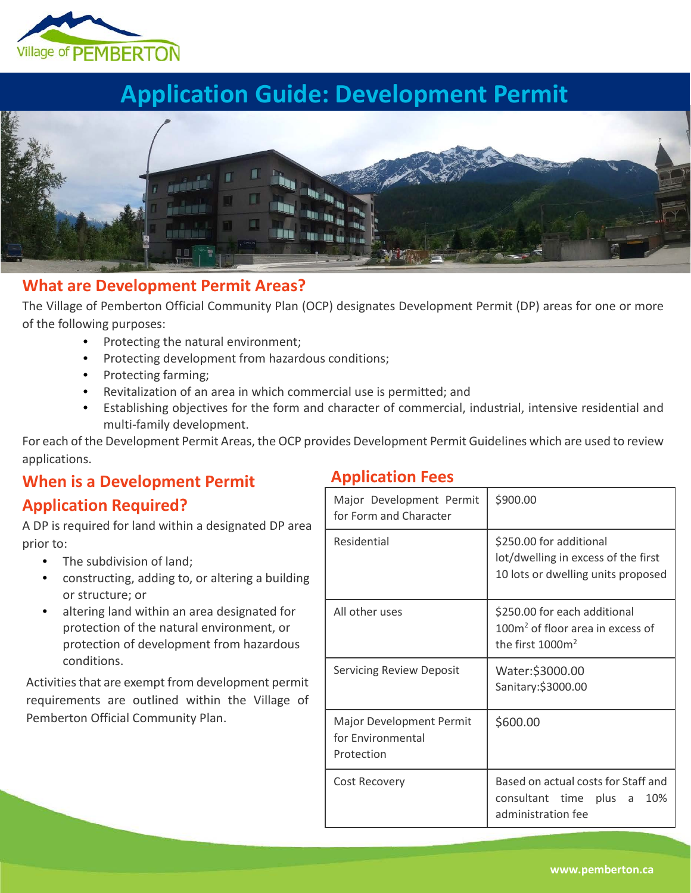

# **Application Guide: Development Permit**



## **What are Development Permit Areas?**

The Village of Pemberton Official Community Plan (OCP) designates Development Permit (DP) areas for one or more of the following purposes:

- Protecting the natural environment;
- Protecting development from hazardous conditions;
- Protecting farming;
- Revitalization of an area in which commercial use is permitted; and
- Establishing objectives for the form and character of commercial, industrial, intensive residential and multi-family development.

For each of the Development Permit Areas, the OCP provides Development Permit Guidelines which are used to review applications.

## **When is a Development Permit**

## **Application Required?**

A DP is required for land within a designated DP area prior to:

- The subdivision of land;
- constructing, adding to, or altering a building or structure; or
- altering land within an area designated for protection of the natural environment, or protection of development from hazardous conditions.

Activities that are exempt from development permit requirements are outlined within the Village of Pemberton Official Community Plan.

## **Application Fees**

| Major Development Permit<br>for Form and Character                 | \$900.00                                                                                             |  |
|--------------------------------------------------------------------|------------------------------------------------------------------------------------------------------|--|
| Residential                                                        | \$250.00 for additional<br>lot/dwelling in excess of the first<br>10 lots or dwelling units proposed |  |
| All other uses                                                     | \$250.00 for each additional<br>100m <sup>2</sup> of floor area in excess of<br>the first $1000m^2$  |  |
| <b>Servicing Review Deposit</b>                                    | Water:\$3000.00<br>Sanitary:\$3000.00                                                                |  |
| <b>Major Development Permit</b><br>for Environmental<br>Protection | \$600.00                                                                                             |  |
| Cost Recovery                                                      | Based on actual costs for Staff and<br>consultant time plus a<br>10%<br>administration fee           |  |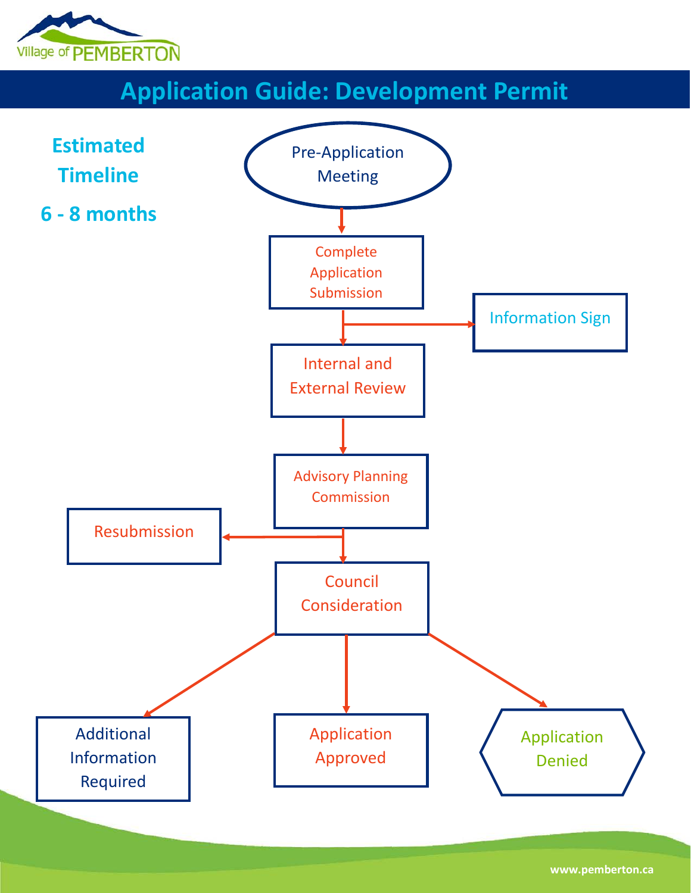

# **Application Guide: Development Permit**

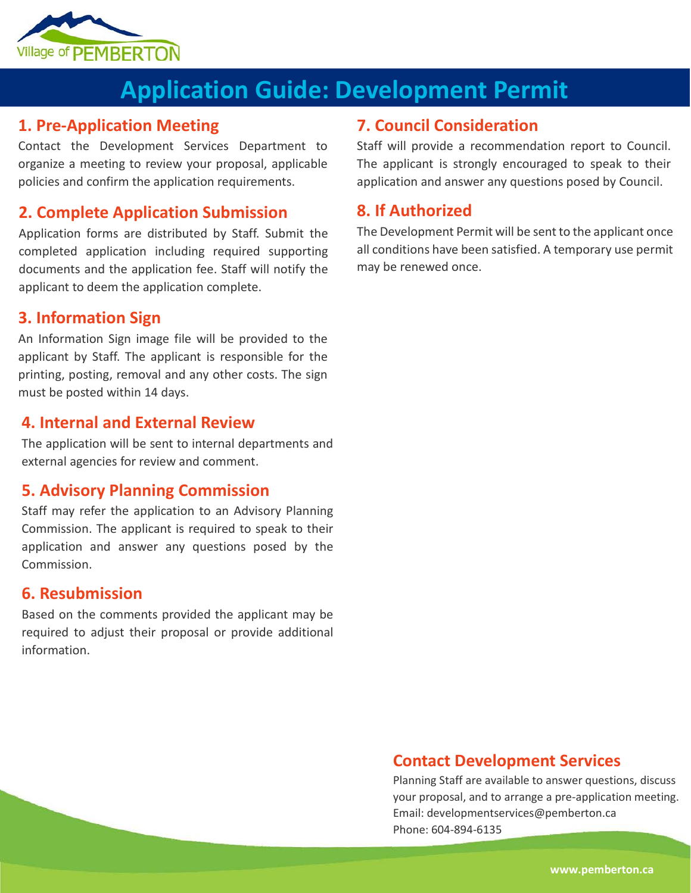

## **Application Guide: Development Permit**

### **1. Pre-Application Meeting**

Contact the Development Services Department to organize a meeting to review your proposal, applicable policies and confirm the application requirements.

## **2. Complete Application Submission**

Application forms are distributed by Staff. Submit the completed application including required supporting documents and the application fee. Staff will notify the applicant to deem the application complete.

## **3. Information Sign**

An Information Sign image file will be provided to the applicant by Staff. The applicant is responsible for the printing, posting, removal and any other costs. The sign must be posted within 14 days.

### **4. Internal and External Review**

The application will be sent to internal departments and external agencies for review and comment.

## **5. Advisory Planning Commission**

Staff may refer the application to an Advisory Planning Commission. The applicant is required to speak to their application and answer any questions posed by the Commission.

### **6. Resubmission**

Based on the comments provided the applicant may be required to adjust their proposal or provide additional information.

### **7. Council Consideration**

Staff will provide a recommendation report to Council. The applicant is strongly encouraged to speak to their application and answer any questions posed by Council.

## **8. If Authorized**

The Development Permit will be sent to the applicant once all conditions have been satisfied. A temporary use permit may be renewed once.

## **Contact Development Services**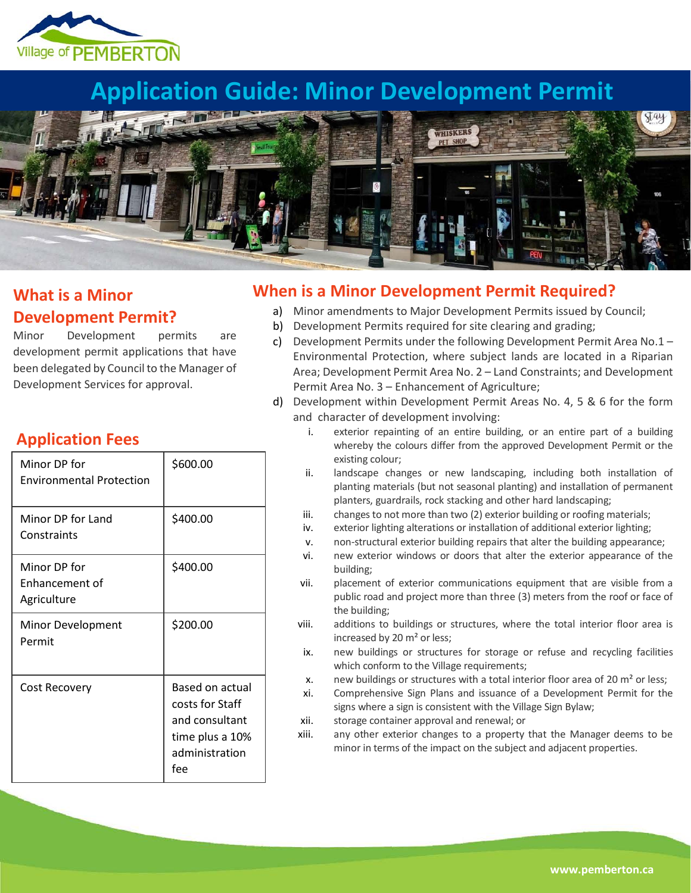

## **Application Guide: Minor Development Permit**



## **What is a Minor Development Permit?**

Minor Development permits are development permit applications that have been delegated by Council to the Manager of Development Services for approval.

#### Minor DP for Environmental Protection \$600.00 Minor DP for Land **Constraints** \$400.00 Minor DP for Enhancement of **Agriculture** \$400.00 Minor Development Permit \$200.00 Cost Recovery **Based on actual**

costs for Staff and consultant time plus a 10% administration

fee

## **Application Fees**

### **When is a Minor Development Permit Required?**

- a) Minor amendments to Major Development Permits issued by Council;
- b) Development Permits required for site clearing and grading;
- c) Development Permits under the following Development Permit Area No.1 Environmental Protection, where subject lands are located in a Riparian Area; Development Permit Area No. 2 – Land Constraints; and Development Permit Area No. 3 – Enhancement of Agriculture;
- d) Development within Development Permit Areas No. 4, 5 & 6 for the form and character of development involving:
	- i. exterior repainting of an entire building, or an entire part of a building whereby the colours differ from the approved Development Permit or the existing colour;
	- ii. landscape changes or new landscaping, including both installation of planting materials (but not seasonal planting) and installation of permanent planters, guardrails, rock stacking and other hard landscaping;
	- iii. changes to not more than two (2) exterior building or roofing materials;
	- iv. exterior lighting alterations or installation of additional exterior lighting;
	- v. non-structural exterior building repairs that alter the building appearance;
	- vi. new exterior windows or doors that alter the exterior appearance of the building;
	- vii. placement of exterior communications equipment that are visible from a public road and project more than three (3) meters from the roof or face of the building;
	- viii. additions to buildings or structures, where the total interior floor area is increased by 20 m² or less;
	- ix. new buildings or structures for storage or refuse and recycling facilities which conform to the Village requirements;
	- x. new buildings or structures with a total interior floor area of 20  $\text{m}^2$  or less;
	- xi. Comprehensive Sign Plans and issuance of a Development Permit for the signs where a sign is consistent with the Village Sign Bylaw;
	- xii. storage container approval and renewal; or
	- xiii. any other exterior changes to a property that the Manager deems to be minor in terms of the impact on the subject and adjacent properties.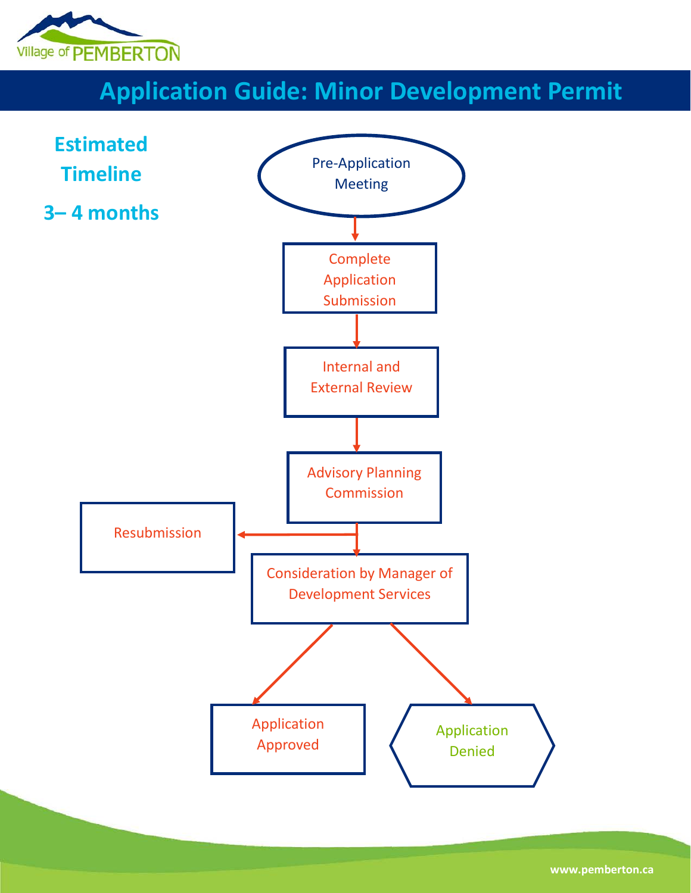

# **Application Guide: Minor Development Permit**



**www.pemberton.ca**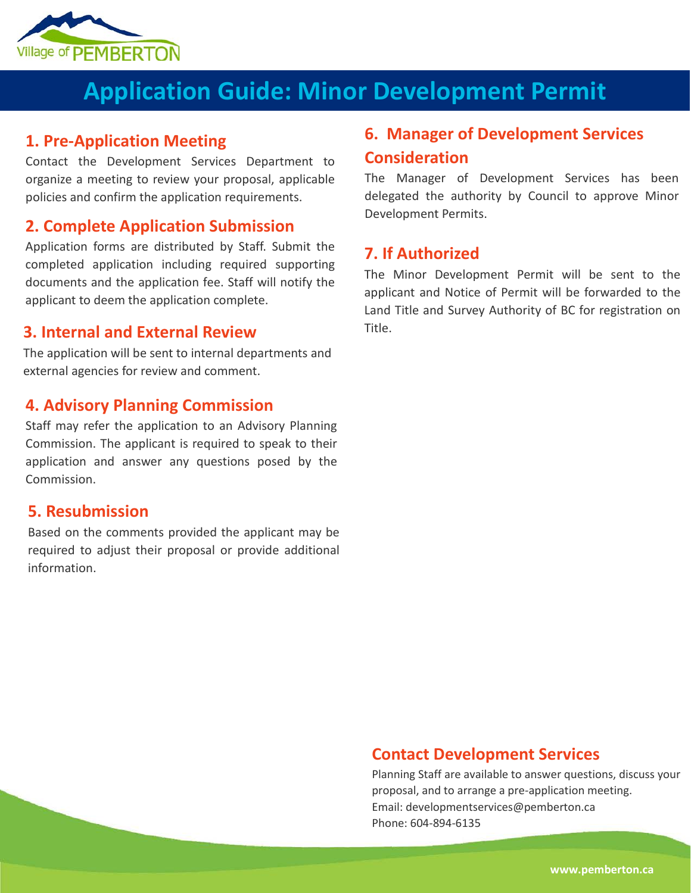

# **Application Guide: Minor Development Permit**

### **1. Pre-Application Meeting**

Contact the Development Services Department to organize a meeting to review your proposal, applicable policies and confirm the application requirements.

### **2. Complete Application Submission**

Application forms are distributed by Staff. Submit the completed application including required supporting documents and the application fee. Staff will notify the applicant to deem the application complete.

### **3. Internal and External Review**

The application will be sent to internal departments and external agencies for review and comment.

#### **4. Advisory Planning Commission**

Staff may refer the application to an Advisory Planning Commission. The applicant is required to speak to their application and answer any questions posed by the Commission.

#### **5. Resubmission**

Based on the comments provided the applicant may be required to adjust their proposal or provide additional information.

## **6. Manager of Development Services Consideration**

The Manager of Development Services has been delegated the authority by Council to approve Minor Development Permits.

#### **7. If Authorized**

The Minor Development Permit will be sent to the applicant and Notice of Permit will be forwarded to the Land Title and Survey Authority of BC for registration on Title.

### **Contact Development Services**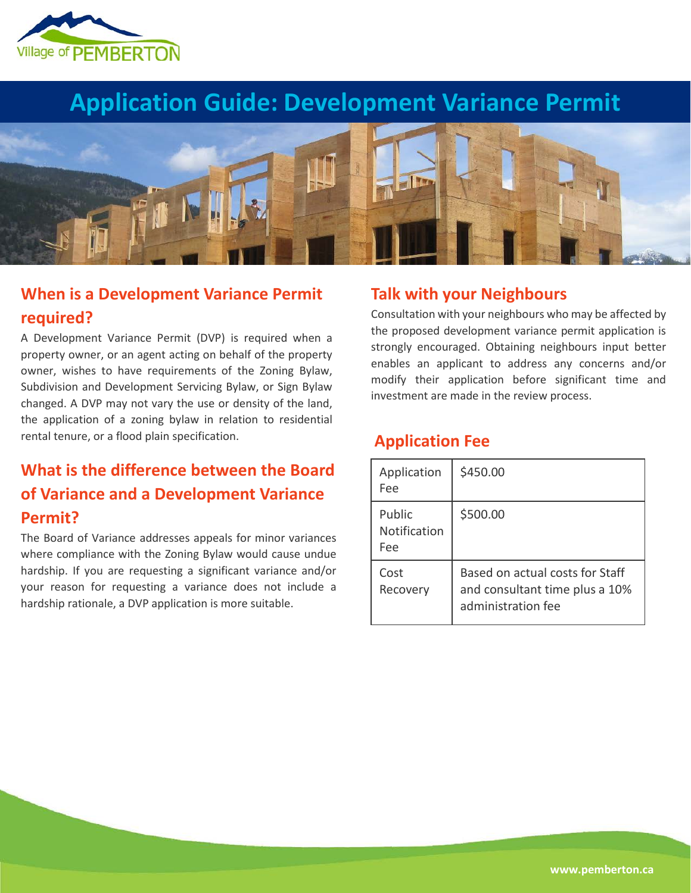

## **Application Guide: Development Variance Permit**



## **When is a Development Variance Permit required?**

A Development Variance Permit (DVP) is required when a property owner, or an agent acting on behalf of the property owner, wishes to have requirements of the Zoning Bylaw, Subdivision and Development Servicing Bylaw, or Sign Bylaw changed. A DVP may not vary the use or density of the land, the application of a zoning bylaw in relation to residential rental tenure, or a flood plain specification.

## **What is the difference between the Board of Variance and a Development Variance Permit?**

The Board of Variance addresses appeals for minor variances where compliance with the Zoning Bylaw would cause undue hardship. If you are requesting a significant variance and/or your reason for requesting a variance does not include a hardship rationale, a DVP application is more suitable.

### **Talk with your Neighbours**

Consultation with your neighbours who may be affected by the proposed development variance permit application is strongly encouraged. Obtaining neighbours input better enables an applicant to address any concerns and/or modify their application before significant time and investment are made in the review process.

### **Application Fee**

| Application<br>Fee            | \$450.00                                                                                |
|-------------------------------|-----------------------------------------------------------------------------------------|
| Public<br>Notification<br>Fee | \$500.00                                                                                |
| Cost<br>Recovery              | Based on actual costs for Staff<br>and consultant time plus a 10%<br>administration fee |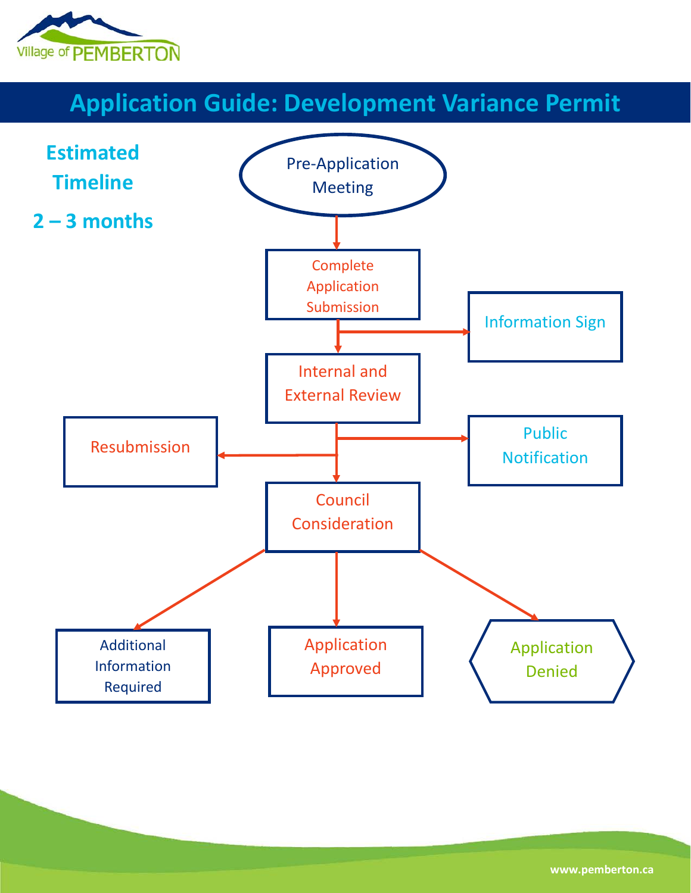

# **Application Guide: Development Variance Permit**

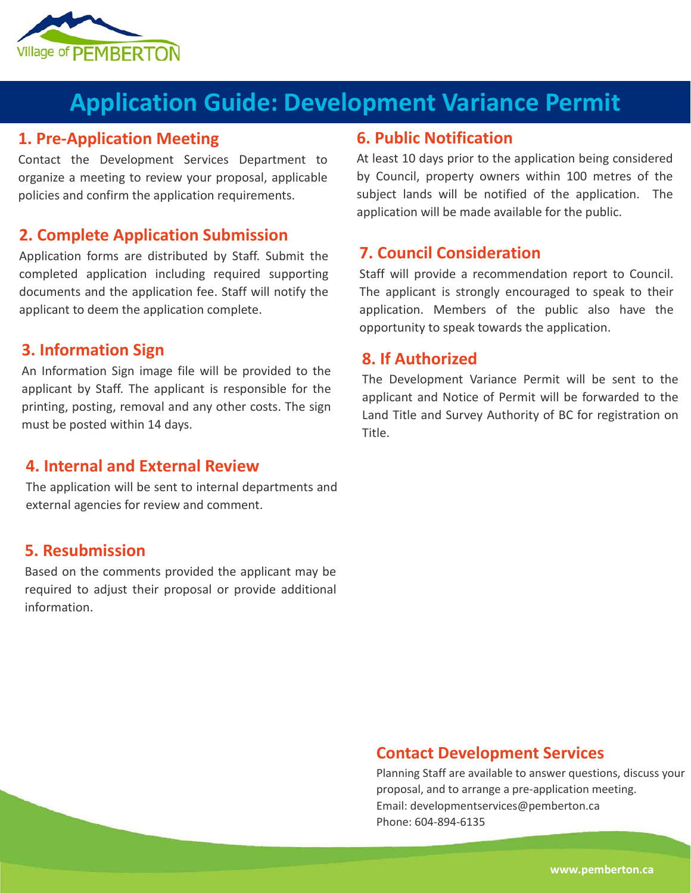

## **Application Guide: Development Variance Permit**

### **1. Pre-Application Meeting**

Contact the Development Services Department to organize a meeting to review your proposal, applicable policies and confirm the application requirements.

### **2. Complete Application Submission**

Application forms are distributed by Staff. Submit the completed application including required supporting documents and the application fee. Staff will notify the applicant to deem the application complete.

#### **3. Information Sign**

An Information Sign image file will be provided to the applicant by Staff. The applicant is responsible for the printing, posting, removal and any other costs. The sign must be posted within 14 days.

### **4. Internal and External Review**

The application will be sent to internal departments and external agencies for review and comment.

### **5. Resubmission**

Based on the comments provided the applicant may be required to adjust their proposal or provide additional information.

## **6. Public Notification**

At least 10 days prior to the application being considered by Council, property owners within 100 metres of the subject lands will be notified of the application. The application will be made available for the public.

### **7. Council Consideration**

Staff will provide a recommendation report to Council. The applicant is strongly encouraged to speak to their application. Members of the public also have the opportunity to speak towards the application.

### **8. If Authorized**

The Development Variance Permit will be sent to the applicant and Notice of Permit will be forwarded to the Land Title and Survey Authority of BC for registration on Title.

### **Contact Development Services**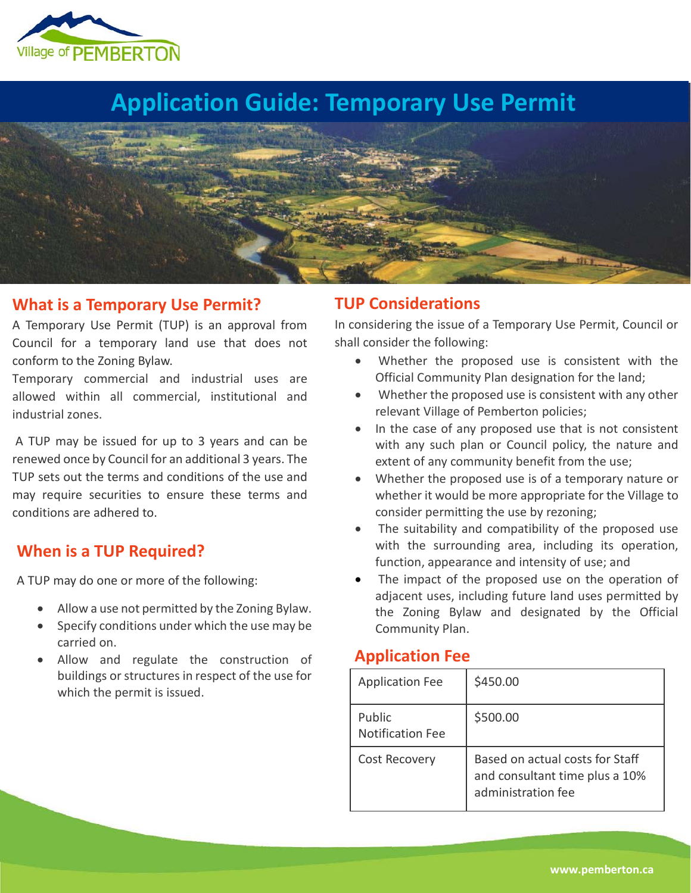

# **Application Guide: Temporary Use Permit**



#### **What is a Temporary Use Permit?**

A Temporary Use Permit (TUP) is an approval from Council for a temporary land use that does not conform to the Zoning Bylaw.

Temporary commercial and industrial uses are allowed within all commercial, institutional and industrial zones.

A TUP may be issued for up to 3 years and can be renewed once by Council for an additional 3 years. The TUP sets out the terms and conditions of the use and may require securities to ensure these terms and conditions are adhered to.

## **When is a TUP Required?**

A TUP may do one or more of the following:

- Allow a use not permitted by the Zoning Bylaw.
- Specify conditions under which the use may be carried on.
- Allow and regulate the construction of buildings or structures in respect of the use for which the permit is issued.

### **TUP Considerations**

In considering the issue of a Temporary Use Permit, Council or shall consider the following:

- Whether the proposed use is consistent with the Official Community Plan designation for the land;
- Whether the proposed use is consistent with any other relevant Village of Pemberton policies;
- In the case of any proposed use that is not consistent with any such plan or Council policy, the nature and extent of any community benefit from the use;
- Whether the proposed use is of a temporary nature or whether it would be more appropriate for the Village to consider permitting the use by rezoning;
- The suitability and compatibility of the proposed use with the surrounding area, including its operation, function, appearance and intensity of use; and
- The impact of the proposed use on the operation of adjacent uses, including future land uses permitted by the Zoning Bylaw and designated by the Official Community Plan.

## **Application Fee**

| <b>Application Fee</b>            | \$450.00                                                                                |
|-----------------------------------|-----------------------------------------------------------------------------------------|
| Public<br><b>Notification Fee</b> | \$500.00                                                                                |
| Cost Recovery                     | Based on actual costs for Staff<br>and consultant time plus a 10%<br>administration fee |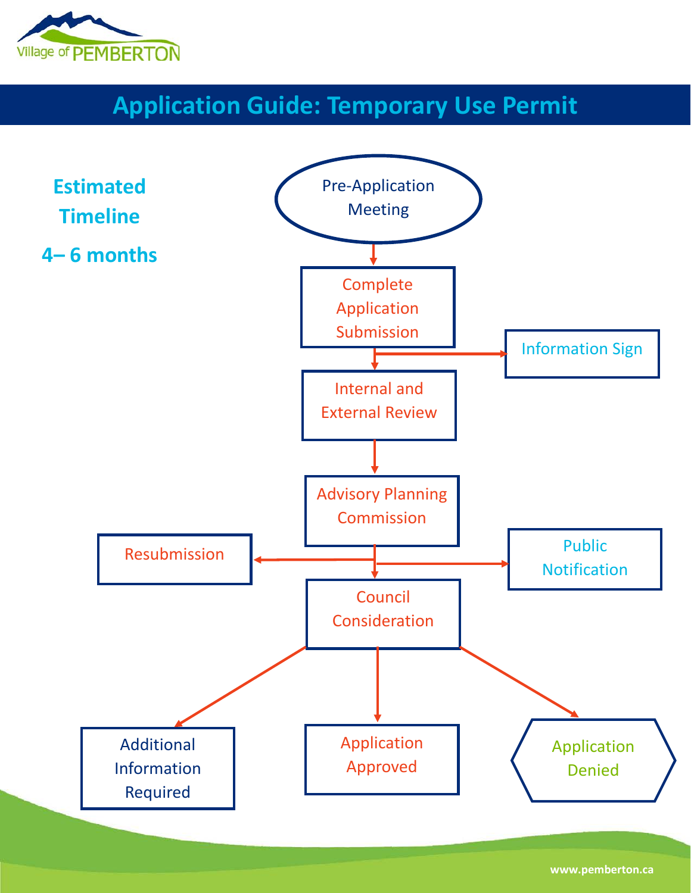

# **Application Guide: Temporary Use Permit**



**www.pemberton.ca**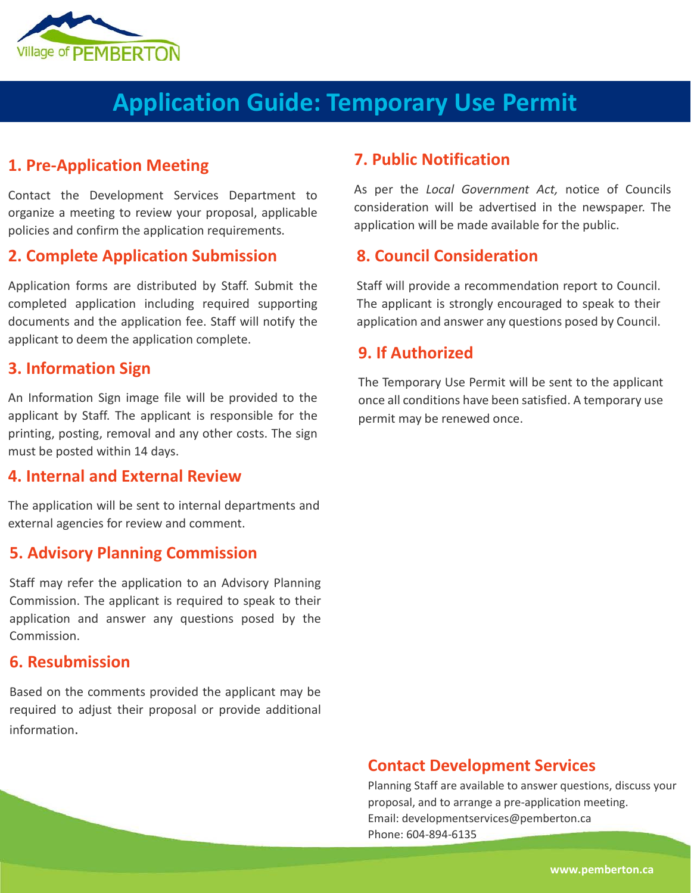

# **Application Guide: Temporary Use Permit**

### **1. Pre-Application Meeting**

Contact the Development Services Department to organize a meeting to review your proposal, applicable policies and confirm the application requirements.

## **2. Complete Application Submission**

Application forms are distributed by Staff. Submit the completed application including required supporting documents and the application fee. Staff will notify the applicant to deem the application complete.

#### **3. Information Sign**

An Information Sign image file will be provided to the applicant by Staff. The applicant is responsible for the printing, posting, removal and any other costs. The sign must be posted within 14 days.

#### **4. Internal and External Review**

The application will be sent to internal departments and external agencies for review and comment.

#### **5. Advisory Planning Commission**

Staff may refer the application to an Advisory Planning Commission. The applicant is required to speak to their application and answer any questions posed by the Commission.

#### **6. Resubmission**

Based on the comments provided the applicant may be required to adjust their proposal or provide additional information.

#### **7. Public Notification**

As per the *Local Government Act,* notice of Councils consideration will be advertised in the newspaper. The application will be made available for the public.

### **8. Council Consideration**

Staff will provide a recommendation report to Council. The applicant is strongly encouraged to speak to their application and answer any questions posed by Council.

### **9. If Authorized**

The Temporary Use Permit will be sent to the applicant once all conditions have been satisfied. A temporary use permit may be renewed once.

#### **Contact Development Services**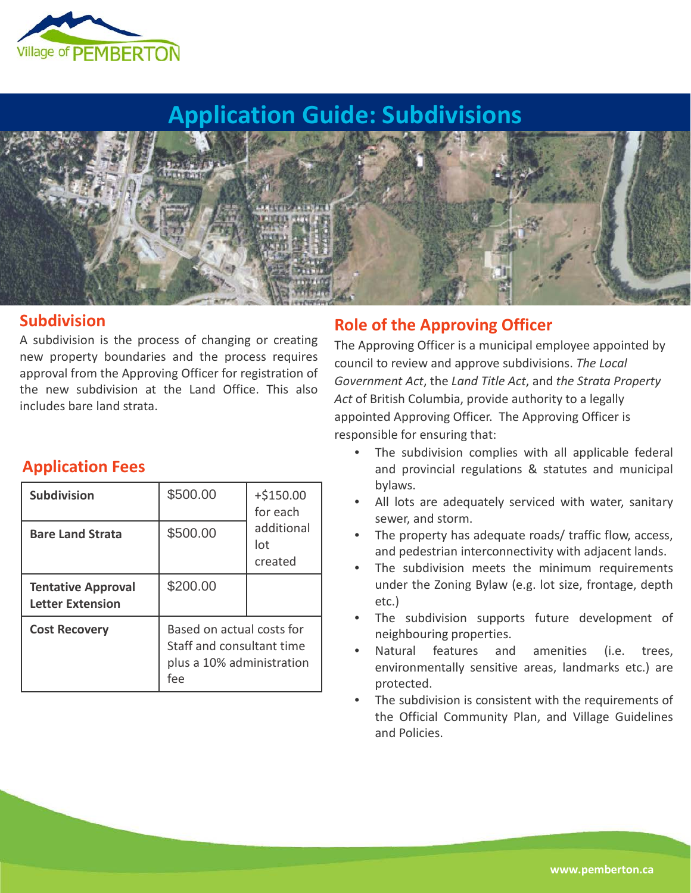

## **Application Guide: Subdivisions**



#### **Subdivision**

A subdivision is the process of changing or creating new property boundaries and the process requires approval from the Approving Officer for registration of the new subdivision at the Land Office. This also includes bare land strata.

### **Role of the Approving Officer**

The Approving Officer is a municipal employee appointed by council to review and approve subdivisions. *The Local Government Act*, the *Land Title Act*, and *the Strata Property Act* of British Columbia, provide authority to a legally appointed Approving Officer. The Approving Officer is responsible for ensuring that:

- The subdivision complies with all applicable federal and provincial regulations & statutes and municipal bylaws.
- All lots are adequately serviced with water, sanitary sewer, and storm.
- The property has adequate roads/ traffic flow, access, and pedestrian interconnectivity with adjacent lands.
- The subdivision meets the minimum requirements under the Zoning Bylaw (e.g. lot size, frontage, depth etc.)
- The subdivision supports future development of neighbouring properties.
- Natural features and amenities (i.e. trees, environmentally sensitive areas, landmarks etc.) are protected.
- The subdivision is consistent with the requirements of the Official Community Plan, and Village Guidelines and Policies.

## **Application Fees**

| <b>Subdivision</b>                            | \$500.00                                                                                   | $+ $150.00$<br>for each      |
|-----------------------------------------------|--------------------------------------------------------------------------------------------|------------------------------|
| <b>Bare Land Strata</b>                       | \$500.00                                                                                   | additional<br>lot<br>created |
| <b>Tentative Approval</b><br>Letter Extension | \$200.00                                                                                   |                              |
| <b>Cost Recovery</b>                          | Based on actual costs for<br>Staff and consultant time<br>plus a 10% administration<br>fee |                              |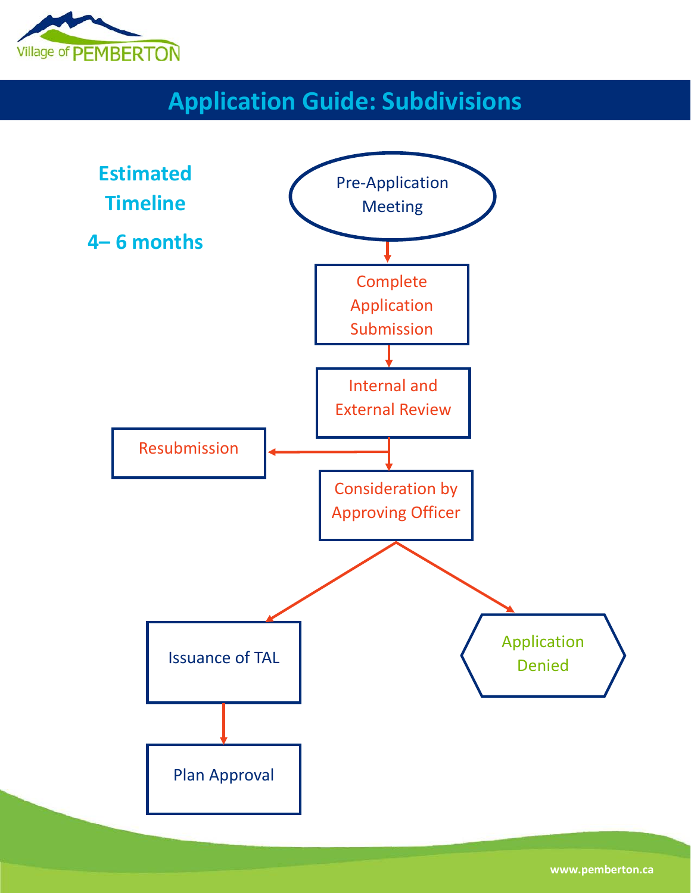

# **Application Guide: Subdivisions**



**www.pemberton.ca**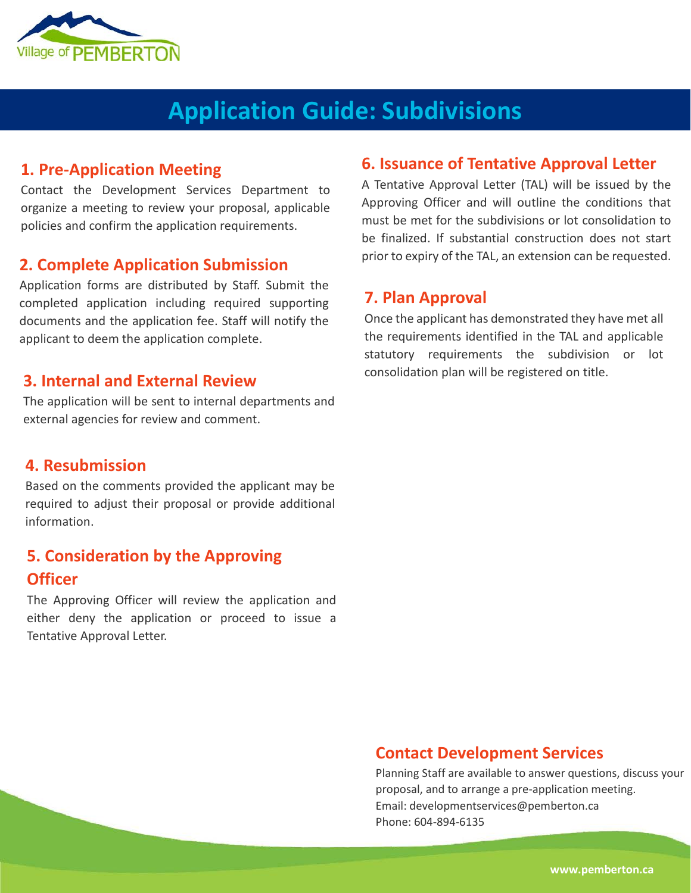

# **Application Guide: Subdivisions**

### **1. Pre-Application Meeting**

Contact the Development Services Department to organize a meeting to review your proposal, applicable policies and confirm the application requirements.

#### **2. Complete Application Submission**

Application forms are distributed by Staff. Submit the completed application including required supporting documents and the application fee. Staff will notify the applicant to deem the application complete.

#### **3. Internal and External Review**

The application will be sent to internal departments and external agencies for review and comment.

### **4. Resubmission**

Based on the comments provided the applicant may be required to adjust their proposal or provide additional information.

## **5. Consideration by the Approving Officer**

The Approving Officer will review the application and either deny the application or proceed to issue a Tentative Approval Letter.

## **6. Issuance of Tentative Approval Letter**

A Tentative Approval Letter (TAL) will be issued by the Approving Officer and will outline the conditions that must be met for the subdivisions or lot consolidation to be finalized. If substantial construction does not start prior to expiry of the TAL, an extension can be requested.

#### **7. Plan Approval**

Once the applicant has demonstrated they have met all the requirements identified in the TAL and applicable statutory requirements the subdivision or lot consolidation plan will be registered on title.

### **Contact Development Services**